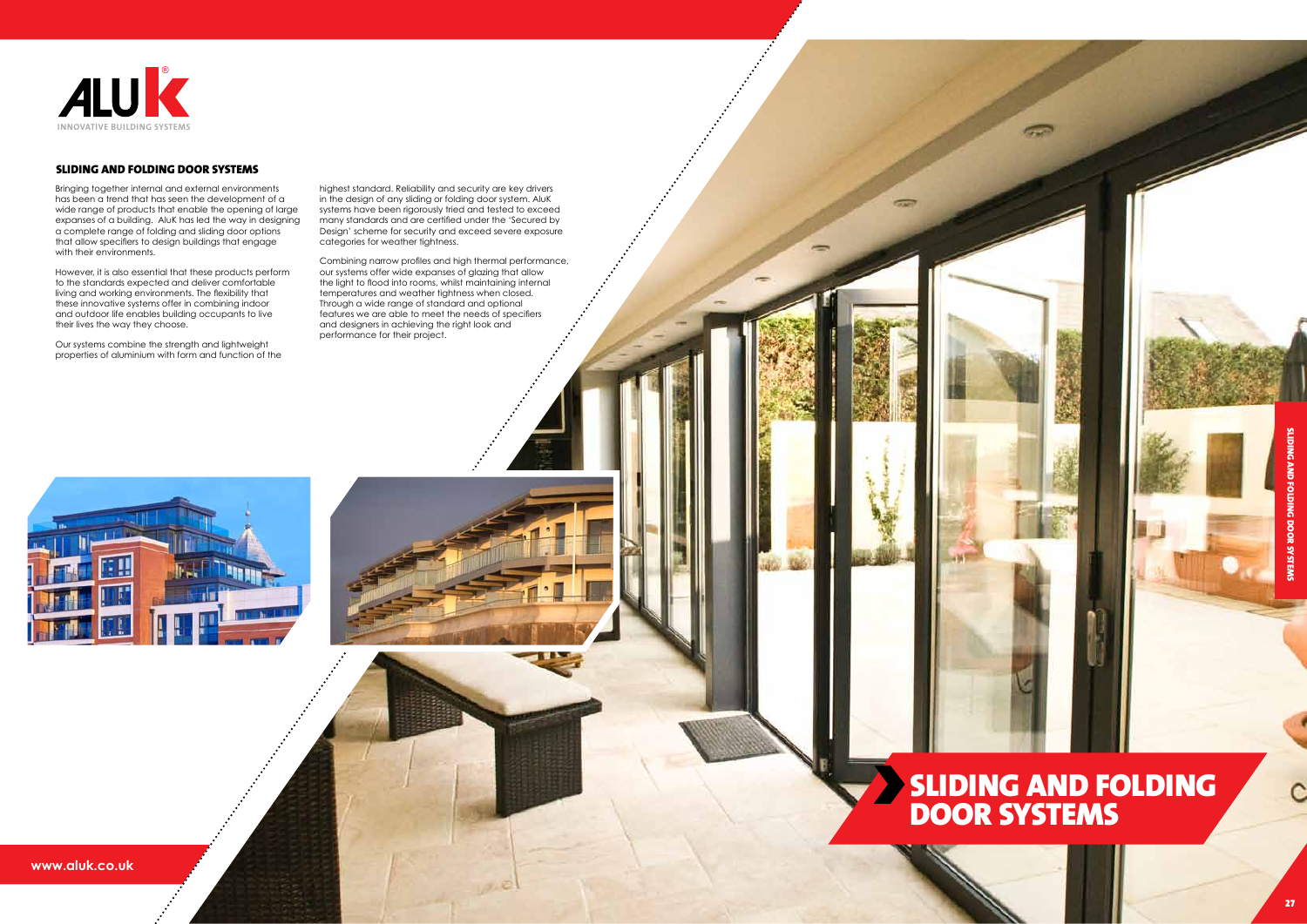Bringing together internal and external environments has been a trend that has seen the development of a wide range of products that enable the opening of large expanses of a building. AluK has led the way in designing a complete range of folding and sliding door options that allow specifiers to design buildings that engage with their environments.

However, it is also essential that these products perform to the standards expected and deliver comfortable living and working environments. The flexibility that these innovative systems offer in combining indoor and outdoor life enables building occupants to live their lives the way they choose.

Our systems combine the strength and lightweight properties of aluminium with form and function of the highest standard, Reliability and security are key drivers<br>in the design of row siding or folding door system. Abuk<br>systems have been rigorously tried and tested to exceed<br>many standards and are certified under the 'Secure Combining narrow profiles and high thermal performance, our systems offer wide expanses of glazing that allow the light to flood into rooms, whilst maintaining internal temperatures and weather tightness when closed. Through a wide range of standard and optional features we are able to meet the needs of specifiers and designers in achieving the right look and performance for their project.





highest standard. Reliability and security are key drivers in the design of any sliding or folding door system. AluK many standards and are certified under the 'Secured by Design' scheme for security and exceed severe exposure categories for weather tightness.

**www.aluk.co.uk**

# Sliding and Folding Door Systems



#### Sliding and Folding Door Systems

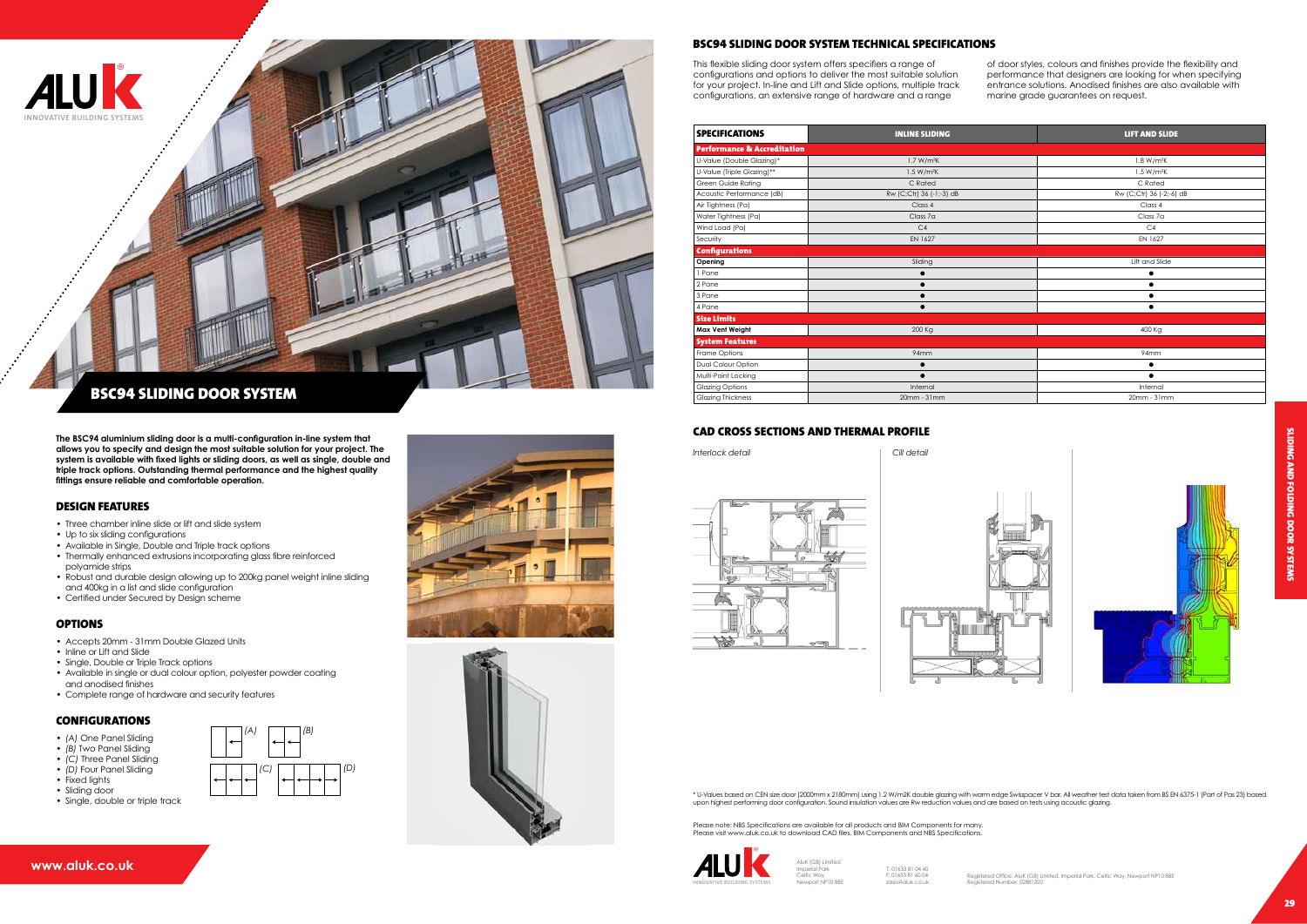

This flexible sliding door system offers specifiers a range of configurations and options to deliver the most suitable solution for your project. In-line and Lift and Slide options, multiple track configurations, an extensive range of hardware and a range

of door styles, colours and finishes provide the flexibility and performance that designers are looking for when specifying entrance solutions. Anodised finishes are also available with marine grade guarantees on request.



- Three chamber inline slide or lift and slide system
- Up to six sliding configurations
- Available in Single, Double and Triple track options
- Thermally enhanced extrusions incorporating glass fibre reinforced polyamide strips
- Robust and durable design allowing up to 200kg panel weight inline sliding and 400kg in a list and slide configuration
- Certified under Secured by Design scheme

#### **OPTIONS**

**The BSC94 aluminium sliding door is a multi-configuration in-line system that allows you to specify and design the most suitable solution for your project. The system is available with fixed lights or sliding doors, as well as single, double and triple track options. Outstanding thermal performance and the highest quality fittings ensure reliable and comfortable operation.**

#### Design Features

AluK (GB) Limited Imperial Park Celtic Way seilic way<br>Jewport NP10 8BF

- Accepts 20mm 31mm Double Glazed Units
- Inline or Lift and Slide
- Single, Double or Triple Track options
- Available in single or dual colour option, polyester powder coating and anodised finishes
- Complete range of hardware and security features

#### **CONFIGURATIONS**

Please note: NBS Specifications are available for all products and BIM Components for many. Please visit www.aluk.co.uk to download CAD files, BIM Components and NBS Specifications.

- *• (A)* One Panel Sliding
- *• (B)* Two Panel Sliding
- *• (C)* Three Panel Sliding
- *• (D)* Four Panel Sliding
- Fixed lights
- Sliding door

### BSC94 Sliding Door System Technical Specifications



## BSC94 SLIDING DOOR SYSTEM

| <b>SPECIFICATIONS</b>                  | <b>INLINE SLIDING</b>    | <b>LIFT AND SLIDE</b>    |  |
|----------------------------------------|--------------------------|--------------------------|--|
| <b>Performance &amp; Accreditation</b> |                          |                          |  |
| U-Value (Double Glazing)*              | 1.7 W/m <sup>2</sup> K   | 1.8 W/m <sup>2</sup> K   |  |
| U-Value (Triple Glazing)**             | 1.5 W/m <sup>2</sup> K   | 1.5 W/m <sup>2</sup> K   |  |
| Green Guide Rating                     | C Rated                  | C Rated                  |  |
| Acoustic Performance (dB)              | Rw (C;Ctr) 36 (-1;-3) dB | Rw (C;Ctr) 36 (-2;-6) dB |  |
| Air Tightness (Pa)                     | Class 4                  | Class 4                  |  |
| Water Tightness (Pa)                   | Class 7a                 | Class 7a                 |  |
| Wind Load (Pa)                         | C <sub>4</sub>           | C4                       |  |
| Security                               | EN 1627                  | EN 1627                  |  |
| <b>Configurations</b>                  |                          |                          |  |
| Opening                                | Sliding                  | Lift and Slide           |  |
| 1 Pane                                 |                          |                          |  |
| 2 Pane                                 |                          |                          |  |
| 3 Pane                                 |                          |                          |  |
| 4 Pane                                 |                          |                          |  |
| <b>Size Limits</b>                     |                          |                          |  |
| Max Vent Weight                        | 200 Kg                   | 400 Kg                   |  |
| <b>System Features</b>                 |                          |                          |  |
| Frame Options                          | 94mm                     | 94mm                     |  |
| Dual Colour Option                     | ٠                        |                          |  |
| Multi-Point Locking                    |                          |                          |  |
| <b>Glazing Options</b>                 | Internal                 | Internal                 |  |
| <b>Glazing Thickness</b>               | 20mm - 31mm              | 20mm - 31mm              |  |



• Single, double or triple track





T: 01633 81 04 40



#### CAD CROSS SECTIONS AND THERMAL PROFILE





\* U-Values based on CEN size door (2000mm x 2180mm) using 1.2 W/m2K double glazing with warm edge Swisspacer V bar. All weather test data taken from BS EN 6375-1 (Part of Pas 23) based<br>upon highest performing door configur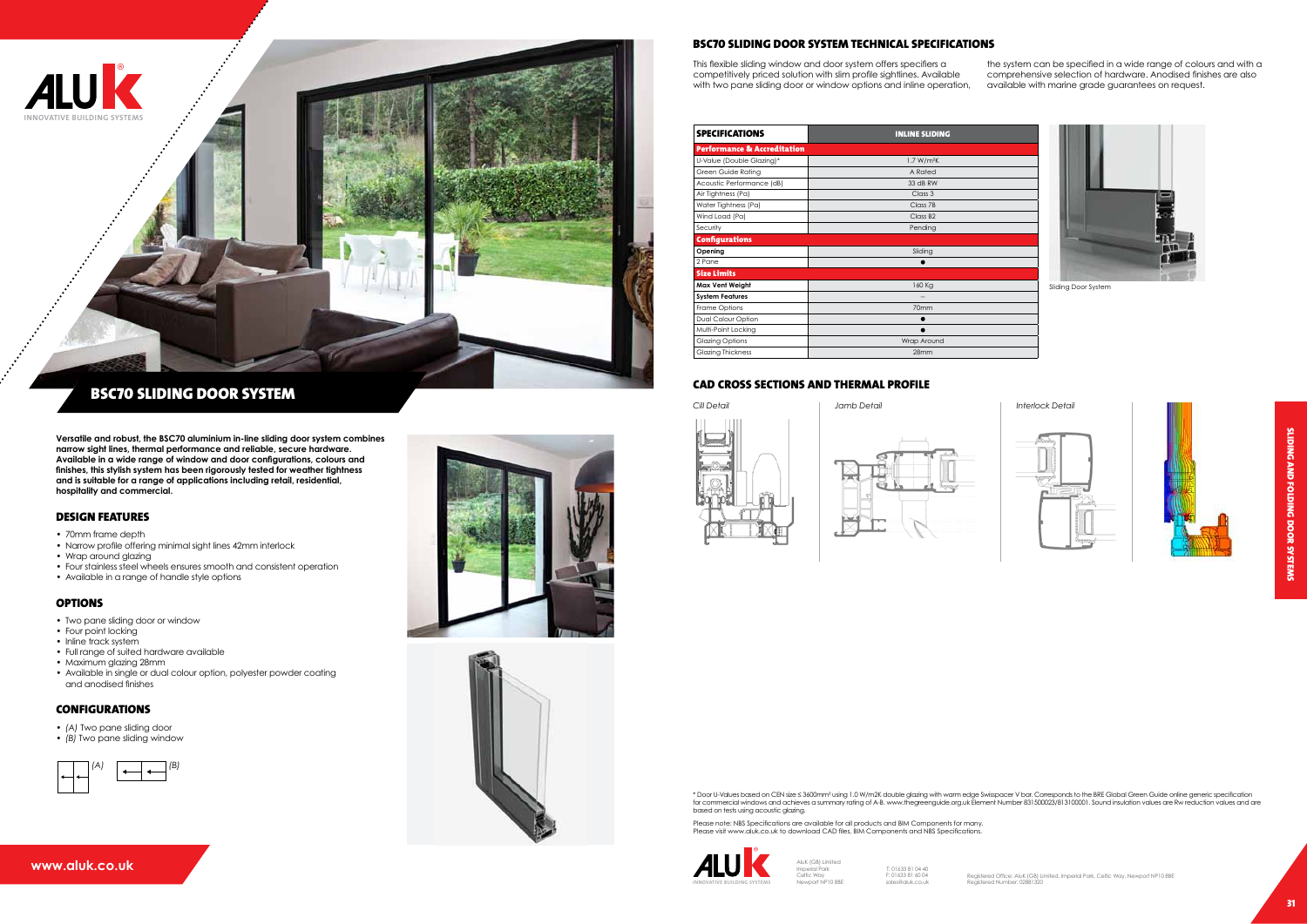#### **www.aluk.co.uk**



This flexible sliding window and door system offers specifiers a competitively priced solution with slim profile sightlines. Available with two pane sliding door or window options and inline operation, the system can be specified in a wide range of colours and with a comprehensive selection of hardware. Anodised finishes are also available with marine grade guarantees on request.

**Versatile and robust, the BSC70 aluminium in-line sliding door system combines narrow sight lines, thermal performance and reliable, secure hardware. Available in a wide range of window and door configurations, colours and finishes, this stylish system has been rigorously tested for weather tightness and is suitable for a range of applications including retail, residential, hospitality and commercial.**

#### Design Features

- 70mm frame depth
- Narrow profile offering minimal sight lines 42mm interlock
- Wrap around glazing
- Four stainless steel wheels ensures smooth and consistent operation
- Available in a range of handle style options

#### **OPTIONS**

- Two pane sliding door or window
- Four point locking
- Inline track system
- Full range of suited hardware available
- Maximum glazing 28mm
- Available in single or dual colour option, polyester powder coating and anodised finishes

#### **CONFIGURATIONS**

- *• (A)* Two pane sliding door
- *• (B)* Two pane sliding window

### BSC70 Sliding Door System Technical Specifications

\* Door U-Values based on CEN size ≤ 3600mm² using 1.0 W/m2K double glazing with warm edge Swisspacer V bar. Corresponds to the BRE Global Green Guide online generic specification<br>for commercial windows and achieves a summa based on tests using acoustic glazing.



# BSC70 Sliding Door System







| <b>SPECIFICATIONS</b>                  | <b>INLINE SLIDING</b>  |
|----------------------------------------|------------------------|
| <b>Performance &amp; Accreditation</b> |                        |
| U-Value (Double Glazing)*              | 1.7 W/m <sup>2</sup> K |
| Green Guide Rating                     | A Rated                |
| Acoustic Performance (dB)              | 33 dB RW               |
| Air Tightness (Pa)                     | Class 3                |
| Water Tightness (Pa)                   | Class 7B               |
| Wind Load (Pa)                         | Class B <sub>2</sub>   |
| Security                               | Pending                |
| <b>Configurations</b>                  |                        |
| Opening                                | Sliding                |
| 2 Pane                                 |                        |
| <b>Size Limits</b>                     |                        |
| Max Vent Weight                        | 160 Kg                 |
| <b>System Features</b>                 |                        |
| Frame Options                          | 70mm                   |
| Dual Colour Option                     |                        |
| Multi-Point Locking                    |                        |
| <b>Glazing Options</b>                 | Wrap Around            |
| <b>Glazing Thickness</b>               | 28mm                   |

AluK (GB) Limited Imperial Park Celtic Way Newport NP10 8BE

T: 01633 81 04 40



Please note: NBS Specifications are available for all products and BIM Components for many. Please visit www.aluk.co.uk to download CAD files, BIM Components and NBS Specifications.



Sliding Door System









#### CAD CROSS SECTIONs AND THERMAL PROFILE